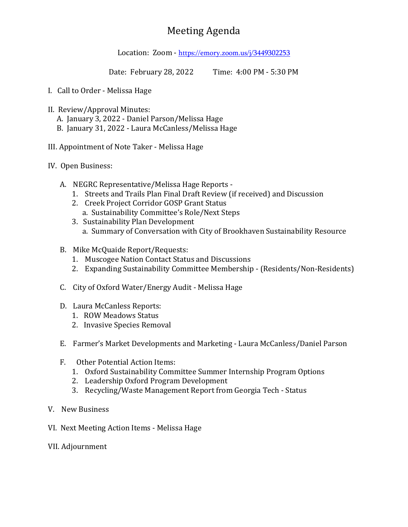## Meeting Agenda

Location: Zoom - <https://emory.zoom.us/j/3449302253>

Date: February 28, 2022 Time: 4:00 PM - 5:30 PM

- I. Call to Order Melissa Hage
- II. Review/Approval Minutes:
	- A. January 3, 2022 Daniel Parson/Melissa Hage
	- B. January 31, 2022 Laura McCanless/Melissa Hage
- III. Appointment of Note Taker Melissa Hage
- IV. Open Business:
	- A. NEGRC Representative/Melissa Hage Reports
		- 1. Streets and Trails Plan Final Draft Review (if received) and Discussion
		- 2. Creek Project Corridor GOSP Grant Status
			- a. Sustainability Committee's Role/Next Steps
		- 3. Sustainability Plan Development
			- a. Summary of Conversation with City of Brookhaven Sustainability Resource
	- B. Mike McQuaide Report/Requests:
		- 1. Muscogee Nation Contact Status and Discussions
		- 2. Expanding Sustainability Committee Membership (Residents/Non-Residents)
	- C. City of Oxford Water/Energy Audit Melissa Hage
	- D. Laura McCanless Reports:
		- 1. ROW Meadows Status
		- 2. Invasive Species Removal
	- E. Farmer's Market Developments and Marketing Laura McCanless/Daniel Parson
	- F. Other Potential Action Items:
		- 1. Oxford Sustainability Committee Summer Internship Program Options
		- 2. Leadership Oxford Program Development
		- 3. Recycling/Waste Management Report from Georgia Tech Status
- V. New Business
- VI. Next Meeting Action Items Melissa Hage
- VII. Adjournment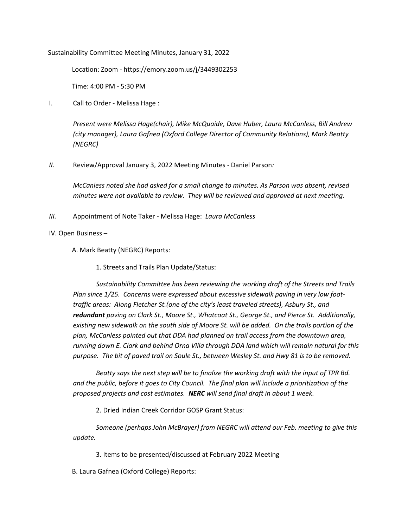Sustainability Committee Meeting Minutes, January 31, 2022

Location: Zoom - https://emory.zoom.us/j/3449302253

Time: 4:00 PM - 5:30 PM

I. Call to Order - Melissa Hage :

*Present were Melissa Hage(chair), Mike McQuaide, Dave Huber, Laura McCanless, Bill Andrew (city manager), Laura Gafnea (Oxford College Director of Community Relations), Mark Beatty (NEGRC)*

*II.* Review/Approval January 3, 2022 Meeting Minutes - Daniel Parson*:* 

*McCanless noted she had asked for a small change to minutes. As Parson was absent, revised minutes were not available to review. They will be reviewed and approved at next meeting.*

*III.* Appointment of Note Taker - Melissa Hage: *Laura McCanless*

IV. Open Business –

A. Mark Beatty (NEGRC) Reports:

1. Streets and Trails Plan Update/Status:

*Sustainability Committee has been reviewing the working draft of the Streets and Trails Plan since 1/25. Concerns were expressed about excessive sidewalk paving in very low foottraffic areas: Along Fletcher St.(one of the city's least traveled streets), Asbury St., and redundant paving on Clark St., Moore St., Whatcoat St., George St., and Pierce St. Additionally, existing new sidewalk on the south side of Moore St. will be added. On the trails portion of the plan, McCanless pointed out that DDA had planned on trail access from the downtown area, running down E. Clark and behind Orna Villa through DDA land which will remain natural for this purpose. The bit of paved trail on Soule St., between Wesley St. and Hwy 81 is to be removed.*

*Beatty says the next step will be to finalize the working draft with the input of TPR Bd. and the public, before it goes to City Council. The final plan will include a prioritization of the proposed projects and cost estimates. NERC will send final draft in about 1 week.*

2. Dried Indian Creek Corridor GOSP Grant Status:

*Someone (perhaps John McBrayer) from NEGRC will attend our Feb. meeting to give this update.*

3. Items to be presented/discussed at February 2022 Meeting

B. Laura Gafnea (Oxford College) Reports: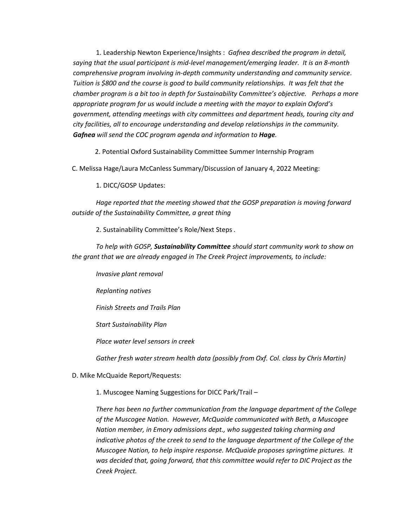1. Leadership Newton Experience/Insights : *Gafnea described the program in detail, saying that the usual participant is mid-level management/emerging leader. It is an 8-month comprehensive program involving in-depth community understanding and community service*. *Tuition is \$800 and the course is good to build community relationships. It was felt that the chamber program is a bit too in depth for Sustainability Committee's objective. Perhaps a more appropriate program for us would include a meeting with the mayor to explain Oxford's government, attending meetings with city committees and department heads, touring city and city facilities, all to encourage understanding and develop relationships in the community. Gafnea will send the COC program agenda and information to Hage.*

2. Potential Oxford Sustainability Committee Summer Internship Program

C. Melissa Hage/Laura McCanless Summary/Discussion of January 4, 2022 Meeting:

1. DICC/GOSP Updates:

*Hage reported that the meeting showed that the GOSP preparation is moving forward outside of the Sustainability Committee, a great thing*

2. Sustainability Committee's Role/Next Steps *.* 

*To help with GOSP, Sustainability Committee should start community work to show on the grant that we are already engaged in The Creek Project improvements, to include:*

*Invasive plant removal*

*Replanting natives*

*Finish Streets and Trails Plan*

*Start Sustainability Plan*

*Place water level sensors in creek*

*Gather fresh water stream health data (possibly from Oxf. Col. class by Chris Martin)*

D. Mike McQuaide Report/Requests:

1. Muscogee Naming Suggestions for DICC Park/Trail –

*There has been no further communication from the language department of the College of the Muscogee Nation. However, McQuaide communicated with Beth, a Muscogee Nation member, in Emory admissions dept., who suggested taking charming and indicative photos of the creek to send to the language department of the College of the Muscogee Nation, to help inspire response. McQuaide proposes springtime pictures. It was decided that, going forward, that this committee would refer to DIC Project as the Creek Project.*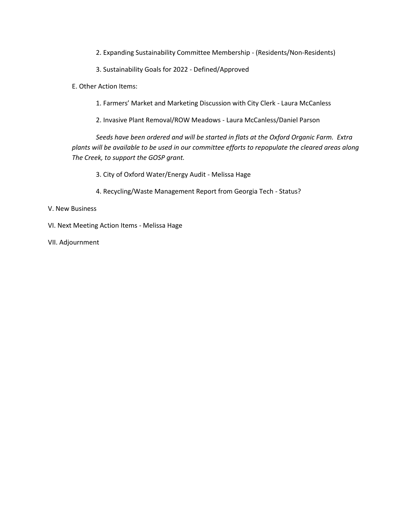- 2. Expanding Sustainability Committee Membership (Residents/Non-Residents)
- 3. Sustainability Goals for 2022 Defined/Approved
- E. Other Action Items:
	- 1. Farmers' Market and Marketing Discussion with City Clerk Laura McCanless
	- 2. Invasive Plant Removal/ROW Meadows Laura McCanless/Daniel Parson

*Seeds have been ordered and will be started in flats at the Oxford Organic Farm. Extra plants will be available to be used in our committee efforts to repopulate the cleared areas along The Creek, to support the GOSP grant.*

- 3. City of Oxford Water/Energy Audit Melissa Hage
- 4. Recycling/Waste Management Report from Georgia Tech Status?

## V. New Business

- VI. Next Meeting Action Items Melissa Hage
- VII. Adjournment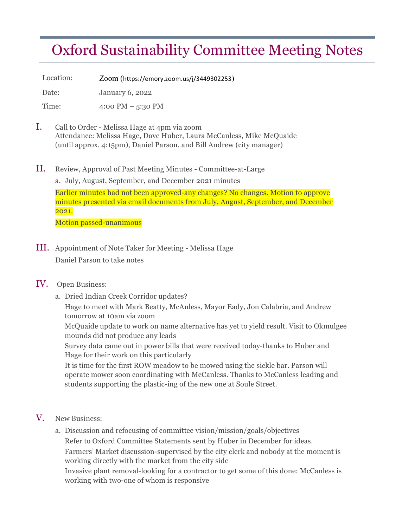## Oxford Sustainability Committee Meeting Notes

Location: Zoom (https://emory.zoom.us/j/3449302253) Date: January 6, 2022 Time: 4:00 PM – 5:30 PM

- I. Call to Order Melissa Hage at 4pm via zoom Attendance: Melissa Hage, Dave Huber, Laura McCanless, Mike McQuaide (until approx. 4:15pm), Daniel Parson, and Bill Andrew (city manager)
- II. Review, Approval of Past Meeting Minutes Committee-at-Large

a. July, August, September, and December 2021 minutes

Earlier minutes had not been approved-any changes? No changes. Motion to approve minutes presented via email documents from July, August, September, and December 2021.

Motion passed-unanimous

III. Appointment of Note Taker for Meeting - Melissa Hage Daniel Parson to take notes

## IV. Open Business:

a. Dried Indian Creek Corridor updates? Hage to meet with Mark Beatty, McAnless, Mayor Eady, Jon Calabria, and Andrew tomorrow at 10am via zoom

McQuaide update to work on name alternative has yet to yield result. Visit to Okmulgee mounds did not produce any leads

Survey data came out in power bills that were received today-thanks to Huber and Hage for their work on this particularly

It is time for the first ROW meadow to be mowed using the sickle bar. Parson will operate mower soon coordinating with McCanless. Thanks to McCanless leading and students supporting the plastic-ing of the new one at Soule Street.

- V. New Business:
	- a. Discussion and refocusing of committee vision/mission/goals/objectives Refer to Oxford Committee Statements sent by Huber in December for ideas. Farmers' Market discussion-supervised by the city clerk and nobody at the moment is working directly with the market from the city side

Invasive plant removal-looking for a contractor to get some of this done: McCanless is working with two-one of whom is responsive